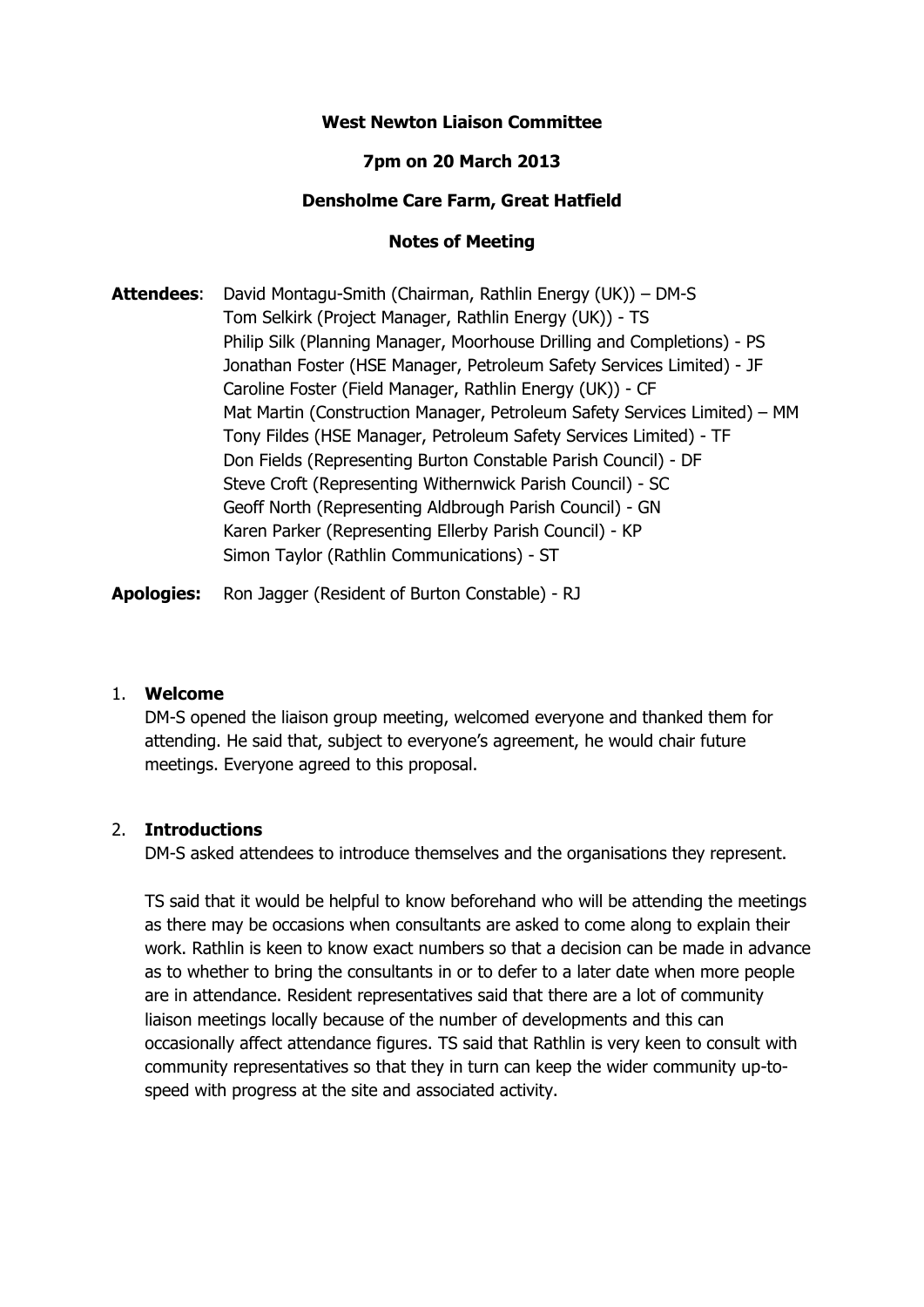## **West Newton Liaison Committee**

## **7pm on 20 March 2013**

### **Densholme Care Farm, Great Hatfield**

### **Notes of Meeting**

**Attendees**: David Montagu-Smith (Chairman, Rathlin Energy (UK)) – DM-S Tom Selkirk (Project Manager, Rathlin Energy (UK)) - TS Philip Silk (Planning Manager, Moorhouse Drilling and Completions) - PS Jonathan Foster (HSE Manager, Petroleum Safety Services Limited) - JF Caroline Foster (Field Manager, Rathlin Energy (UK)) - CF Mat Martin (Construction Manager, Petroleum Safety Services Limited) – MM Tony Fildes (HSE Manager, Petroleum Safety Services Limited) - TF Don Fields (Representing Burton Constable Parish Council) - DF Steve Croft (Representing Withernwick Parish Council) - SC Geoff North (Representing Aldbrough Parish Council) - GN Karen Parker (Representing Ellerby Parish Council) - KP Simon Taylor (Rathlin Communications) - ST

**Apologies:** Ron Jagger (Resident of Burton Constable) - RJ

#### 1. **Welcome**

DM-S opened the liaison group meeting, welcomed everyone and thanked them for attending. He said that, subject to everyone's agreement, he would chair future meetings. Everyone agreed to this proposal.

#### 2. **Introductions**

DM-S asked attendees to introduce themselves and the organisations they represent.

TS said that it would be helpful to know beforehand who will be attending the meetings as there may be occasions when consultants are asked to come along to explain their work. Rathlin is keen to know exact numbers so that a decision can be made in advance as to whether to bring the consultants in or to defer to a later date when more people are in attendance. Resident representatives said that there are a lot of community liaison meetings locally because of the number of developments and this can occasionally affect attendance figures. TS said that Rathlin is very keen to consult with community representatives so that they in turn can keep the wider community up-tospeed with progress at the site and associated activity.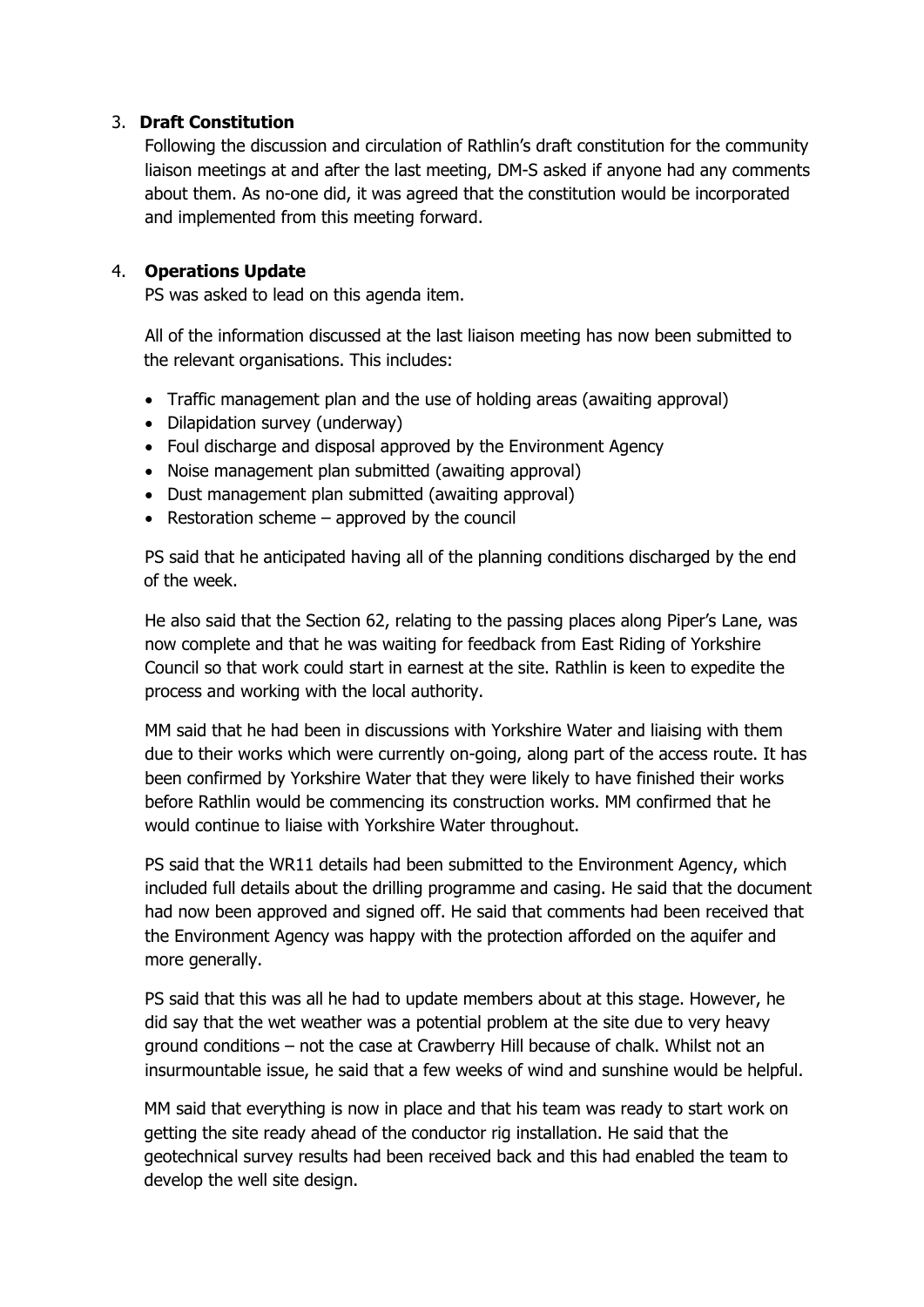# 3. **Draft Constitution**

Following the discussion and circulation of Rathlin's draft constitution for the community liaison meetings at and after the last meeting, DM-S asked if anyone had any comments about them. As no-one did, it was agreed that the constitution would be incorporated and implemented from this meeting forward.

# 4. **Operations Update**

PS was asked to lead on this agenda item.

All of the information discussed at the last liaison meeting has now been submitted to the relevant organisations. This includes:

- Traffic management plan and the use of holding areas (awaiting approval)
- Dilapidation survey (underway)
- Foul discharge and disposal approved by the Environment Agency
- Noise management plan submitted (awaiting approval)
- Dust management plan submitted (awaiting approval)
- Restoration scheme  $-$  approved by the council

PS said that he anticipated having all of the planning conditions discharged by the end of the week.

He also said that the Section 62, relating to the passing places along Piper's Lane, was now complete and that he was waiting for feedback from East Riding of Yorkshire Council so that work could start in earnest at the site. Rathlin is keen to expedite the process and working with the local authority.

MM said that he had been in discussions with Yorkshire Water and liaising with them due to their works which were currently on-going, along part of the access route. It has been confirmed by Yorkshire Water that they were likely to have finished their works before Rathlin would be commencing its construction works. MM confirmed that he would continue to liaise with Yorkshire Water throughout.

PS said that the WR11 details had been submitted to the Environment Agency, which included full details about the drilling programme and casing. He said that the document had now been approved and signed off. He said that comments had been received that the Environment Agency was happy with the protection afforded on the aquifer and more generally.

PS said that this was all he had to update members about at this stage. However, he did say that the wet weather was a potential problem at the site due to very heavy ground conditions – not the case at Crawberry Hill because of chalk. Whilst not an insurmountable issue, he said that a few weeks of wind and sunshine would be helpful.

MM said that everything is now in place and that his team was ready to start work on getting the site ready ahead of the conductor rig installation. He said that the geotechnical survey results had been received back and this had enabled the team to develop the well site design.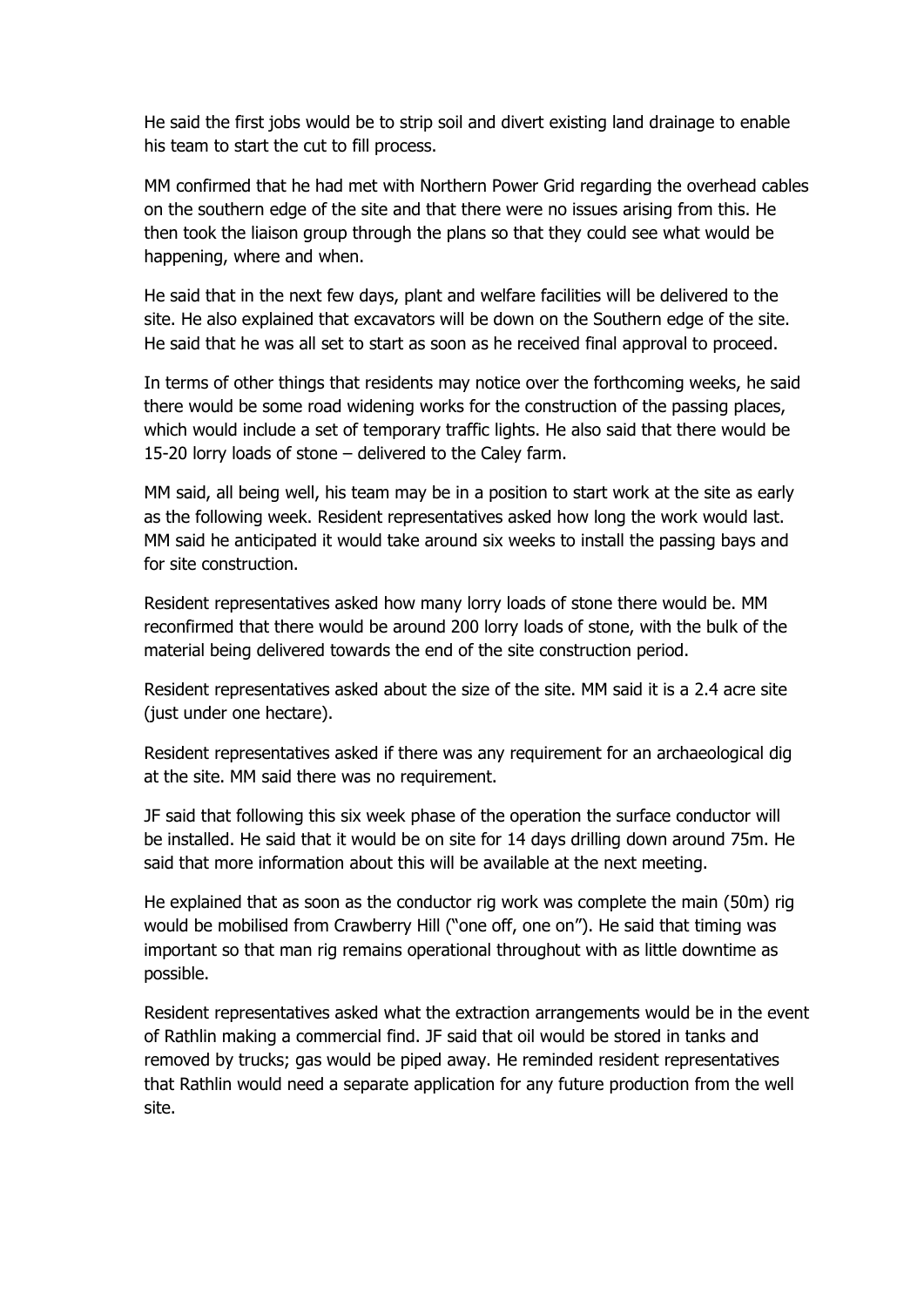He said the first jobs would be to strip soil and divert existing land drainage to enable his team to start the cut to fill process.

MM confirmed that he had met with Northern Power Grid regarding the overhead cables on the southern edge of the site and that there were no issues arising from this. He then took the liaison group through the plans so that they could see what would be happening, where and when.

He said that in the next few days, plant and welfare facilities will be delivered to the site. He also explained that excavators will be down on the Southern edge of the site. He said that he was all set to start as soon as he received final approval to proceed.

In terms of other things that residents may notice over the forthcoming weeks, he said there would be some road widening works for the construction of the passing places, which would include a set of temporary traffic lights. He also said that there would be 15-20 lorry loads of stone – delivered to the Caley farm.

MM said, all being well, his team may be in a position to start work at the site as early as the following week. Resident representatives asked how long the work would last. MM said he anticipated it would take around six weeks to install the passing bays and for site construction.

Resident representatives asked how many lorry loads of stone there would be. MM reconfirmed that there would be around 200 lorry loads of stone, with the bulk of the material being delivered towards the end of the site construction period.

Resident representatives asked about the size of the site. MM said it is a 2.4 acre site (just under one hectare).

Resident representatives asked if there was any requirement for an archaeological dig at the site. MM said there was no requirement.

JF said that following this six week phase of the operation the surface conductor will be installed. He said that it would be on site for 14 days drilling down around 75m. He said that more information about this will be available at the next meeting.

He explained that as soon as the conductor rig work was complete the main (50m) rig would be mobilised from Crawberry Hill ("one off, one on"). He said that timing was important so that man rig remains operational throughout with as little downtime as possible.

Resident representatives asked what the extraction arrangements would be in the event of Rathlin making a commercial find. JF said that oil would be stored in tanks and removed by trucks; gas would be piped away. He reminded resident representatives that Rathlin would need a separate application for any future production from the well site.